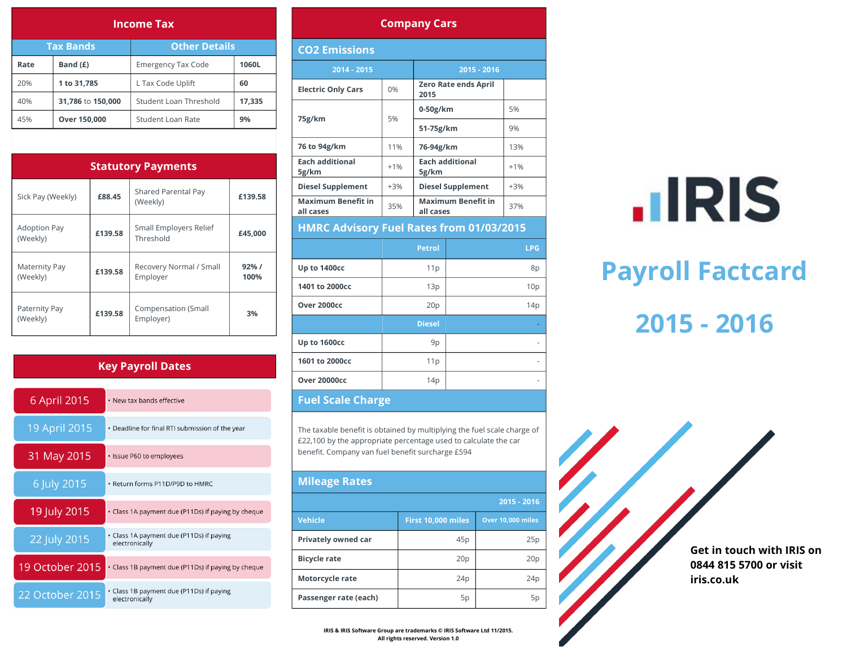| <b>Income Tax</b>                        |                   |                           |        |  |  |  |  |  |
|------------------------------------------|-------------------|---------------------------|--------|--|--|--|--|--|
| <b>Other Details</b><br><b>Tax Bands</b> |                   |                           |        |  |  |  |  |  |
| Rate                                     | Band (£)          | <b>Emergency Tax Code</b> | 1060L  |  |  |  |  |  |
| 20%                                      | 1 to 31,785       | L Tax Code Uplift         | 60     |  |  |  |  |  |
| 40%                                      | 31,786 to 150,000 | Student Loan Threshold    | 17,335 |  |  |  |  |  |
| 45%                                      | Over 150,000      | Student Loan Rate         | 9%     |  |  |  |  |  |

| <b>Statutory Payments</b>                  |         |                                     |               |  |  |  |  |
|--------------------------------------------|---------|-------------------------------------|---------------|--|--|--|--|
| £88.45<br>Sick Pay (Weekly)                |         | Shared Parental Pay<br>(Weekly)     | £139.58       |  |  |  |  |
| <b>Adoption Pay</b><br>£139.58<br>(Weekly) |         | Small Employers Relief<br>Threshold | £45,000       |  |  |  |  |
| Maternity Pay<br>(Weekly)                  | £139.58 | Recovery Normal / Small<br>Employer | 92% /<br>100% |  |  |  |  |
| Paternity Pay<br>(Weekly)                  | £139.58 | Compensation (Small<br>Employer)    | 3%            |  |  |  |  |

### **Key Payroll Dates**

| 6 April 2015    | • New tax bands effective                                  |
|-----------------|------------------------------------------------------------|
| 19 April 2015   | • Deadline for final RTI submission of the year            |
| 31 May 2015     | • Issue P60 to employees                                   |
| 6 July 2015     | • Return forms P11D/P9D to HMRC                            |
| 19 July 2015    | • Class 1A payment due (P11Ds) if paying by cheque         |
| 22 July 2015    | • Class 1A payment due (P11Ds) if paying<br>electronically |
| 19 October 2015 | • Class 1B payment due (P11Ds) if paying by cheque         |
| 22 October 2015 | • Class 1B payment due (P11Ds) if paying<br>electronically |

#### **Company Cars**

| <b>CO2 Emissions</b>                            |       |                                        |       |            |  |  |  |
|-------------------------------------------------|-------|----------------------------------------|-------|------------|--|--|--|
| 2014 - 2015                                     |       | 2015 - 2016                            |       |            |  |  |  |
| <b>Electric Only Cars</b>                       | 0%    | <b>Zero Rate ends April</b><br>2015    |       |            |  |  |  |
| 75g/km                                          | 5%    | $0-50g/km$                             |       | 5%         |  |  |  |
|                                                 |       | 51-75g/km                              |       | 9%         |  |  |  |
| 76 to 94g/km                                    | 11%   | 76-94g/km                              |       | 13%        |  |  |  |
| <b>Each additional</b><br>5g/km                 | $+1%$ | <b>Each additional</b><br>5g/km        | $+1%$ |            |  |  |  |
| <b>Diesel Supplement</b>                        | $+3%$ | <b>Diesel Supplement</b>               | $+3%$ |            |  |  |  |
| <b>Maximum Benefit in</b><br>all cases          | 35%   | <b>Maximum Benefit in</b><br>all cases | 37%   |            |  |  |  |
| <b>HMRC Advisory Fuel Rates from 01/03/2015</b> |       |                                        |       |            |  |  |  |
|                                                 |       | <b>Petrol</b>                          |       | <b>LPG</b> |  |  |  |
| Up to 1400cc                                    |       | 11p                                    |       | 8p         |  |  |  |
| 1401 to 2000cc                                  |       | 13p                                    |       | 10p        |  |  |  |
| Over 2000cc                                     |       | 20p                                    |       | 14p        |  |  |  |
|                                                 |       | <b>Diesel</b>                          |       |            |  |  |  |
| Up to 1600cc                                    | 9p    |                                        |       |            |  |  |  |
| 1601 to 2000cc                                  |       | 11p                                    |       |            |  |  |  |
| <b>Over 20000cc</b>                             |       | 14p                                    |       |            |  |  |  |
|                                                 |       |                                        |       |            |  |  |  |

#### **Fuel Scale Charge**

The taxable benefit is obtained by multiplying the fuel scale charge of £22,100 by the appropriate percentage used to calculate the car benefit. Company van fuel benefit surcharge £594

| <b>Mileage Rates</b>  |                                         |     |  |  |  |  |  |
|-----------------------|-----------------------------------------|-----|--|--|--|--|--|
| $2015 - 2016$         |                                         |     |  |  |  |  |  |
| <b>Vehicle</b>        | First 10,000 miles<br>Over 10,000 miles |     |  |  |  |  |  |
| Privately owned car   | 45p                                     | 25p |  |  |  |  |  |
| <b>Bicycle rate</b>   | 20p                                     | 20p |  |  |  |  |  |
| Motorcycle rate       | 24 <sub>p</sub>                         | 24p |  |  |  |  |  |
| Passenger rate (each) | 5p                                      | 5p  |  |  |  |  |  |

 $\cdot$ IRIS

# **Payroll Factcard**

## **2015 - 2016**

**Get in touch with IRIS on 0844 815 5700 or visit iris.co.uk**

**IRIS & IRIS Software Group are trademarks © IRIS Software Ltd 11/2015. All rights reserved. Version 1.0**